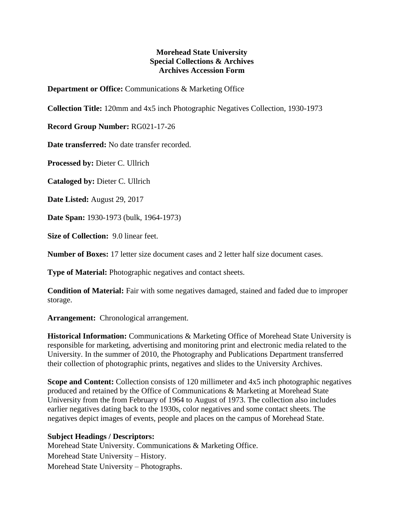## **Morehead State University Special Collections & Archives Archives Accession Form**

**Department or Office:** Communications & Marketing Office

**Collection Title:** 120mm and 4x5 inch Photographic Negatives Collection, 1930-1973

**Record Group Number:** RG021-17-26

**Date transferred:** No date transfer recorded.

**Processed by:** Dieter C. Ullrich

**Cataloged by:** Dieter C. Ullrich

**Date Listed:** August 29, 2017

**Date Span:** 1930-1973 (bulk, 1964-1973)

**Size of Collection:** 9.0 linear feet.

**Number of Boxes:** 17 letter size document cases and 2 letter half size document cases.

**Type of Material:** Photographic negatives and contact sheets.

**Condition of Material:** Fair with some negatives damaged, stained and faded due to improper storage.

**Arrangement:** Chronological arrangement.

**Historical Information:** Communications & Marketing Office of Morehead State University is responsible for marketing, advertising and monitoring print and electronic media related to the University. In the summer of 2010, the Photography and Publications Department transferred their collection of photographic prints, negatives and slides to the University Archives.

**Scope and Content:** Collection consists of 120 millimeter and  $4x5$  inch photographic negatives produced and retained by the Office of Communications & Marketing at Morehead State University from the from February of 1964 to August of 1973. The collection also includes earlier negatives dating back to the 1930s, color negatives and some contact sheets. The negatives depict images of events, people and places on the campus of Morehead State.

## **Subject Headings / Descriptors:**

Morehead State University. Communications & Marketing Office. Morehead State University – History. Morehead State University – Photographs.